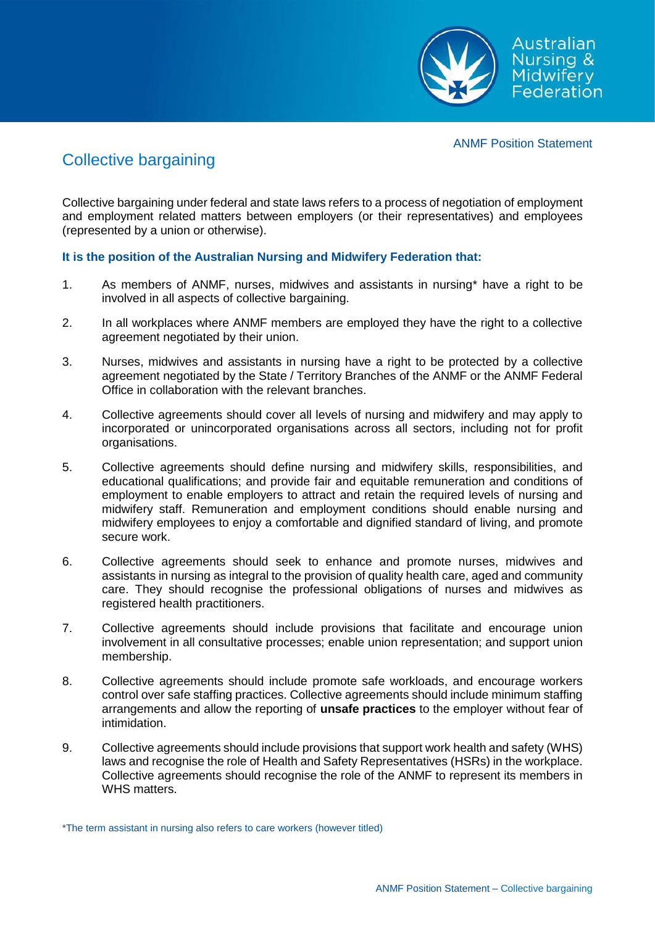

ANMF Position Statement

## Collective bargaining

Collective bargaining under federal and state laws refers to a process of negotiation of employment and employment related matters between employers (or their representatives) and employees (represented by a union or otherwise).

## **It is the position of the Australian Nursing and Midwifery Federation that:**

- 1. As members of ANMF, nurses, midwives and assistants in nursing\* have a right to be involved in all aspects of collective bargaining.
- 2. In all workplaces where ANMF members are employed they have the right to a collective agreement negotiated by their union.
- 3. Nurses, midwives and assistants in nursing have a right to be protected by a collective agreement negotiated by the State / Territory Branches of the ANMF or the ANMF Federal Office in collaboration with the relevant branches.
- 4. Collective agreements should cover all levels of nursing and midwifery and may apply to incorporated or unincorporated organisations across all sectors, including not for profit organisations.
- 5. Collective agreements should define nursing and midwifery skills, responsibilities, and educational qualifications; and provide fair and equitable remuneration and conditions of employment to enable employers to attract and retain the required levels of nursing and midwifery staff. Remuneration and employment conditions should enable nursing and midwifery employees to enjoy a comfortable and dignified standard of living, and promote secure work.
- 6. Collective agreements should seek to enhance and promote nurses, midwives and assistants in nursing as integral to the provision of quality health care, aged and community care. They should recognise the professional obligations of nurses and midwives as registered health practitioners.
- 7. Collective agreements should include provisions that facilitate and encourage union involvement in all consultative processes; enable union representation; and support union membership.
- 8. Collective agreements should include promote safe workloads, and encourage workers control over safe staffing practices. Collective agreements should include minimum staffing arrangements and allow the reporting of **unsafe practices** to the employer without fear of intimidation.
- 9. Collective agreements should include provisions that support work health and safety (WHS) laws and recognise the role of Health and Safety Representatives (HSRs) in the workplace. Collective agreements should recognise the role of the ANMF to represent its members in WHS matters.

\*The term assistant in nursing also refers to care workers (however titled)